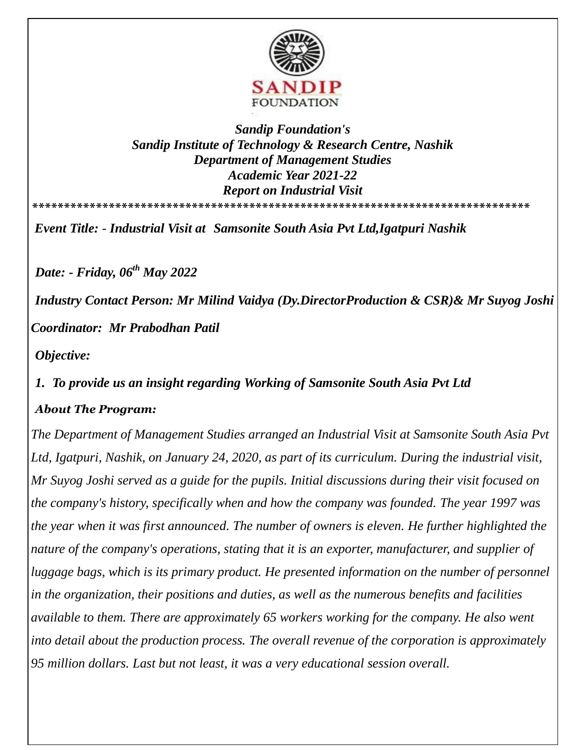

#### *Sandip Foundation's Sandip Institute of Technology & Research Centre, Nashik Department of Management Studies Academic Year 2021-22 Report on Industrial Visit*  **\*\*\*\*\*\*\*\*\*\*\*\*\*\*\*\*\*\*\*\*\*\*\*\*\*\*\*\*\*\*\*\*\*\*\*\*\*\*\*\*\*\*\*\*\*\*\*\*\*\*\*\*\*\*\*\*\*\*\*\*\*\*\*\*\*\*\*\*\*\*\*\*\*\*\*\*\*\***

*Event Title: - Industrial Visit at Samsonite South Asia Pvt Ltd,Igatpuri Nashik* 

*Date: - Friday, 06th May 2022*

*Industry Contact Person: Mr Milind Vaidya (Dy.DirectorProduction & CSR)& Mr Suyog Joshi Coordinator: Mr Prabodhan Patil* 

*Objective:*

## *1. To provide us an insight regarding Working of Samsonite South Asia Pvt Ltd*

### *About The Program:*

*The Department of Management Studies arranged an Industrial Visit at Samsonite South Asia Pvt Ltd, Igatpuri, Nashik, on January 24, 2020, as part of its curriculum. During the industrial visit, Mr Suyog Joshi served as a guide for the pupils. Initial discussions during their visit focused on the company's history, specifically when and how the company was founded. The year 1997 was the year when it was first announced. The number of owners is eleven. He further highlighted the nature of the company's operations, stating that it is an exporter, manufacturer, and supplier of luggage bags, which is its primary product. He presented information on the number of personnel in the organization, their positions and duties, as well as the numerous benefits and facilities available to them. There are approximately 65 workers working for the company. He also went into detail about the production process. The overall revenue of the corporation is approximately 95 million dollars. Last but not least, it was a very educational session overall.*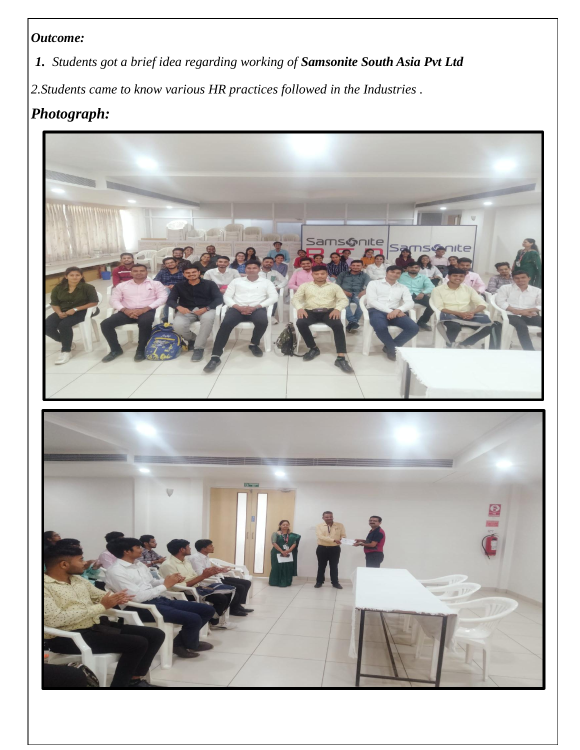## *Outcome:*

*1. Students got a brief idea regarding working of Samsonite South Asia Pvt Ltd*

*2.Students came to know various HR practices followed in the Industries .* 

# *Photograph:*